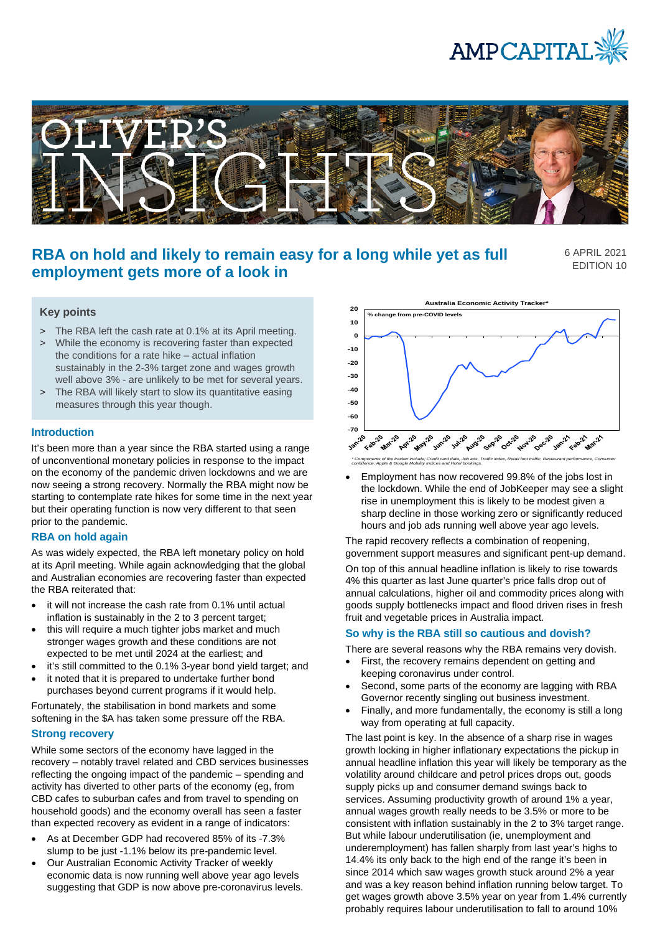



# **RBA on hold and likely to remain easy for a long while yet as full employment gets more of a look in**

6 APRIL 2021 EDITION 10

- > The RBA left the cash rate at 0.1% at its April meeting.
- > While the economy is recovering faster than expected the conditions for a rate hike – actual inflation sustainably in the 2-3% target zone and wages growth well above 3% - are unlikely to be met for several years.
- > The RBA will likely start to slow its quantitative easing measures through this year though.

# **Introduction**

It's been more than a year since the RBA started using a range of unconventional monetary policies in response to the impact on the economy of the pandemic driven lockdowns and we are now seeing a strong recovery. Normally the RBA might now be starting to contemplate rate hikes for some time in the next year but their operating function is now very different to that seen prior to the pandemic.

# **RBA on hold again**

As was widely expected, the RBA left monetary policy on hold at its April meeting. While again acknowledging that the global and Australian economies are recovering faster than expected the RBA reiterated that:

- it will not increase the cash rate from 0.1% until actual inflation is sustainably in the 2 to 3 percent target;
- this will require a much tighter jobs market and much stronger wages growth and these conditions are not expected to be met until 2024 at the earliest; and
- it's still committed to the 0.1% 3-year bond yield target; and
- it noted that it is prepared to undertake further bond purchases beyond current programs if it would help.

Fortunately, the stabilisation in bond markets and some softening in the \$A has taken some pressure off the RBA.

# **Strong recovery**

While some sectors of the economy have lagged in the recovery – notably travel related and CBD services businesses reflecting the ongoing impact of the pandemic – spending and activity has diverted to other parts of the economy (eg, from CBD cafes to suburban cafes and from travel to spending on household goods) and the economy overall has seen a faster than expected recovery as evident in a range of indicators:

- As at December GDP had recovered 85% of its -7.3% slump to be just -1.1% below its pre-pandemic level.
- Our Australian Economic Activity Tracker of weekly economic data is now running well above year ago levels suggesting that GDP is now above pre-coronavirus levels.



• Employment has now recovered 99.8% of the jobs lost in the lockdown. While the end of JobKeeper may see a slight rise in unemployment this is likely to be modest given a sharp decline in those working zero or significantly reduced hours and job ads running well above year ago levels.

The rapid recovery reflects a combination of reopening, government support measures and significant pent-up demand.

On top of this annual headline inflation is likely to rise towards 4% this quarter as last June quarter's price falls drop out of annual calculations, higher oil and commodity prices along with goods supply bottlenecks impact and flood driven rises in fresh fruit and vegetable prices in Australia impact.

### **So why is the RBA still so cautious and dovish?**

There are several reasons why the RBA remains very dovish.

- First, the recovery remains dependent on getting and keeping coronavirus under control.
- Second, some parts of the economy are lagging with RBA Governor recently singling out business investment.
- Finally, and more fundamentally, the economy is still a long way from operating at full capacity.

The last point is key. In the absence of a sharp rise in wages growth locking in higher inflationary expectations the pickup in annual headline inflation this year will likely be temporary as the volatility around childcare and petrol prices drops out, goods supply picks up and consumer demand swings back to services. Assuming productivity growth of around 1% a year, annual wages growth really needs to be 3.5% or more to be consistent with inflation sustainably in the 2 to 3% target range. But while labour underutilisation (ie, unemployment and underemployment) has fallen sharply from last year's highs to 14.4% its only back to the high end of the range it's been in since 2014 which saw wages growth stuck around 2% a year and was a key reason behind inflation running below target. To get wages growth above 3.5% year on year from 1.4% currently probably requires labour underutilisation to fall to around 10%